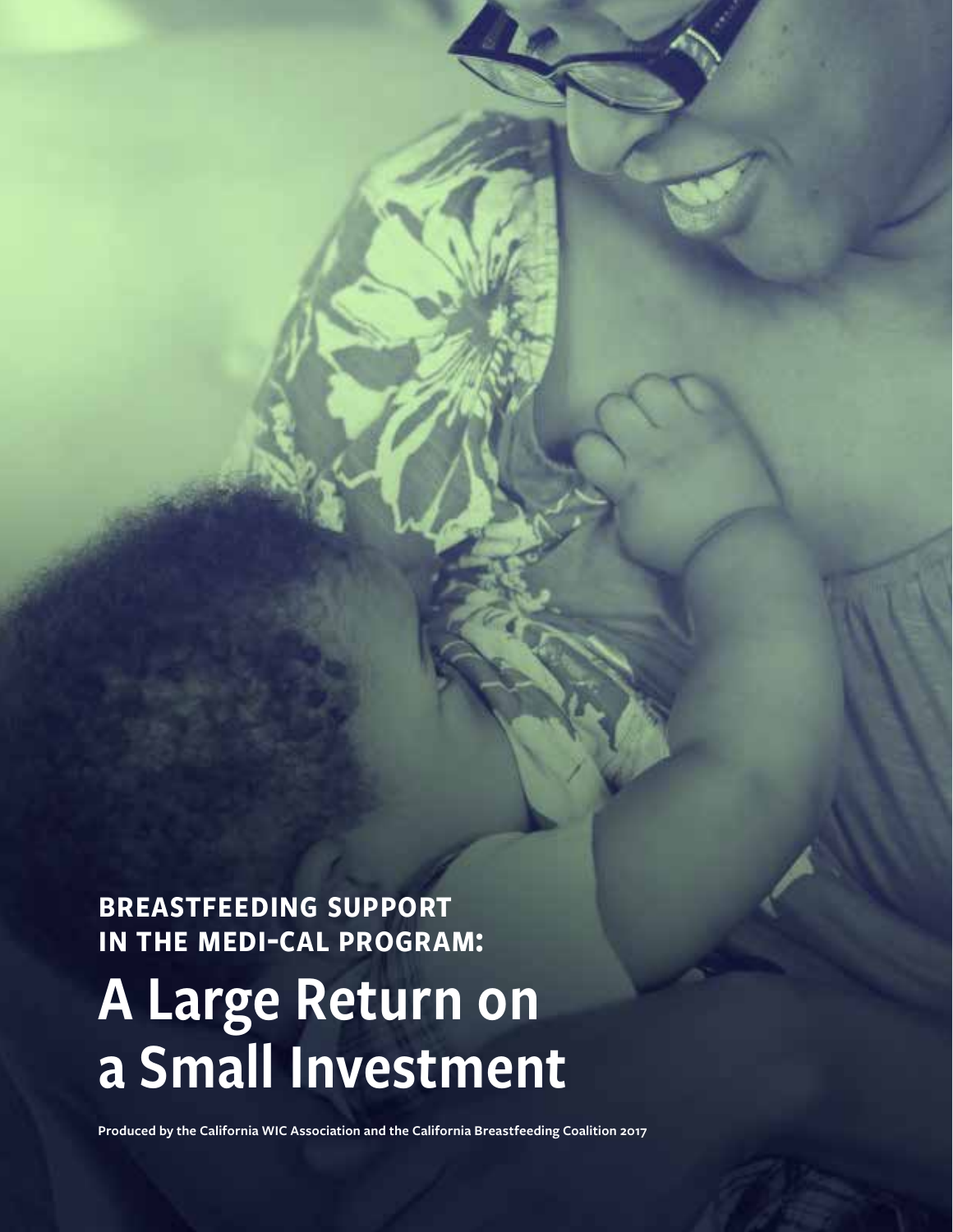breastfeeding support in the medi-cal program:

# A Large Return on a Small Investment

**Produced by the California WIC Association and the California Breastfeeding Coalition 2017**

CALIFORNIA WICKER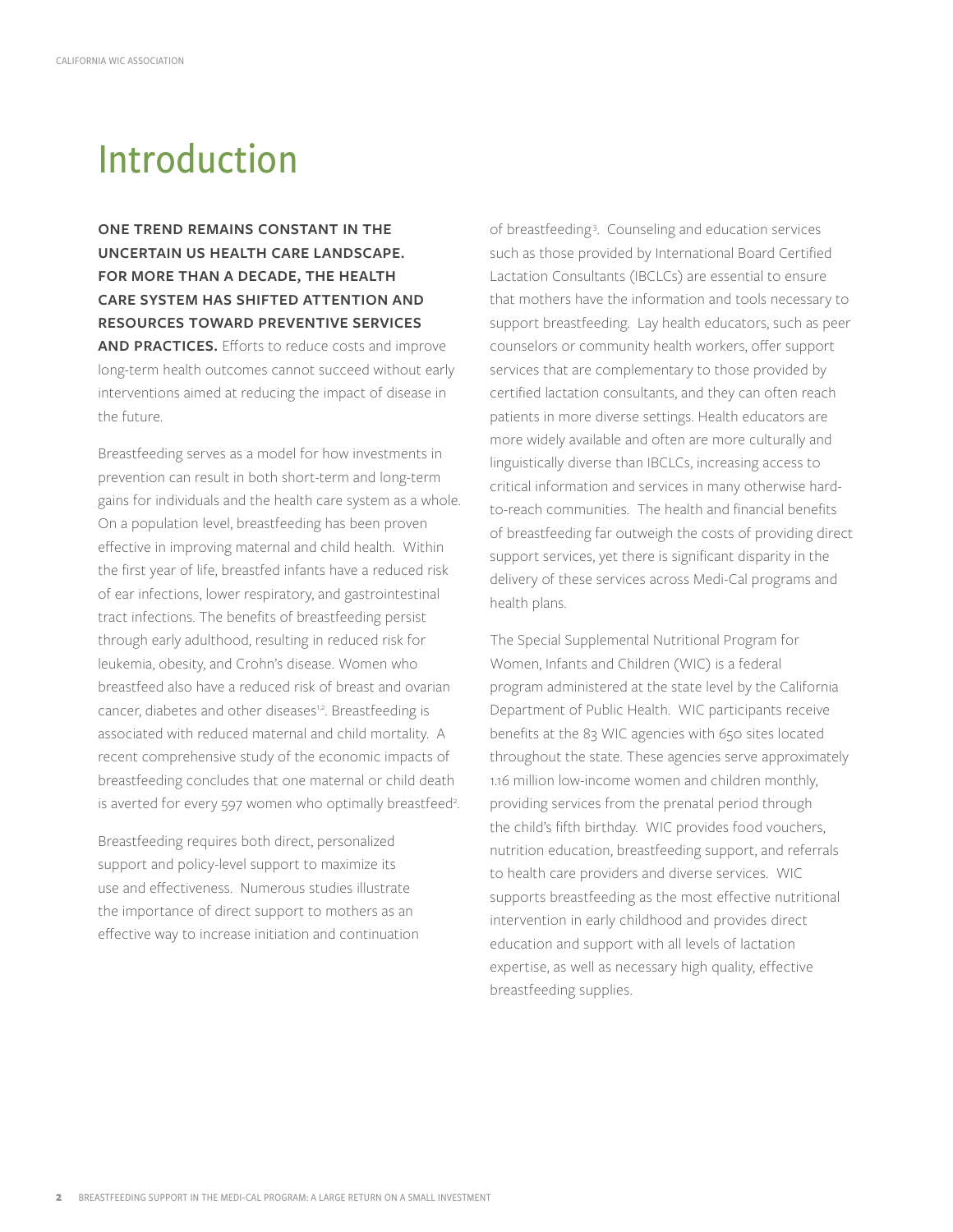## Introduction

**ONE TREND REMAINS CONSTANT IN THE UNCERTAIN US HEALTH CARE LANDSCAPE. FOR MORE THAN A DECADE, THE HEALTH CARE SYSTEM HAS SHIFTED ATTENTION AND RESOURCES TOWARD PREVENTIVE SERVICES AND PRACTICES.** Efforts to reduce costs and improve long-term health outcomes cannot succeed without early interventions aimed at reducing the impact of disease in the future.

Breastfeeding serves as a model for how investments in prevention can result in both short-term and long-term gains for individuals and the health care system as a whole. On a population level, breastfeeding has been proven effective in improving maternal and child health. Within the first year of life, breastfed infants have a reduced risk of ear infections, lower respiratory, and gastrointestinal tract infections. The benefits of breastfeeding persist through early adulthood, resulting in reduced risk for leukemia, obesity, and Crohn's disease. Women who breastfeed also have a reduced risk of breast and ovarian cancer, diabetes and other diseases<sup>1,2</sup>. Breastfeeding is associated with reduced maternal and child mortality. A recent comprehensive study of the economic impacts of breastfeeding concludes that one maternal or child death is averted for every 597 women who optimally breastfeed<sup>2</sup>.

Breastfeeding requires both direct, personalized support and policy-level support to maximize its use and effectiveness. Numerous studies illustrate the importance of direct support to mothers as an effective way to increase initiation and continuation

of breastfeeding3 . Counseling and education services such as those provided by International Board Certified Lactation Consultants (IBCLCs) are essential to ensure that mothers have the information and tools necessary to support breastfeeding. Lay health educators, such as peer counselors or community health workers, offer support services that are complementary to those provided by certified lactation consultants, and they can often reach patients in more diverse settings. Health educators are more widely available and often are more culturally and linguistically diverse than IBCLCs, increasing access to critical information and services in many otherwise hardto-reach communities. The health and financial benefits of breastfeeding far outweigh the costs of providing direct support services, yet there is significant disparity in the delivery of these services across Medi-Cal programs and health plans.

The Special Supplemental Nutritional Program for Women, Infants and Children (WIC) is a federal program administered at the state level by the California Department of Public Health. WIC participants receive benefits at the 83 WIC agencies with 650 sites located throughout the state. These agencies serve approximately 1.16 million low-income women and children monthly, providing services from the prenatal period through the child's fifth birthday. WIC provides food vouchers, nutrition education, breastfeeding support, and referrals to health care providers and diverse services. WIC supports breastfeeding as the most effective nutritional intervention in early childhood and provides direct education and support with all levels of lactation expertise, as well as necessary high quality, effective breastfeeding supplies.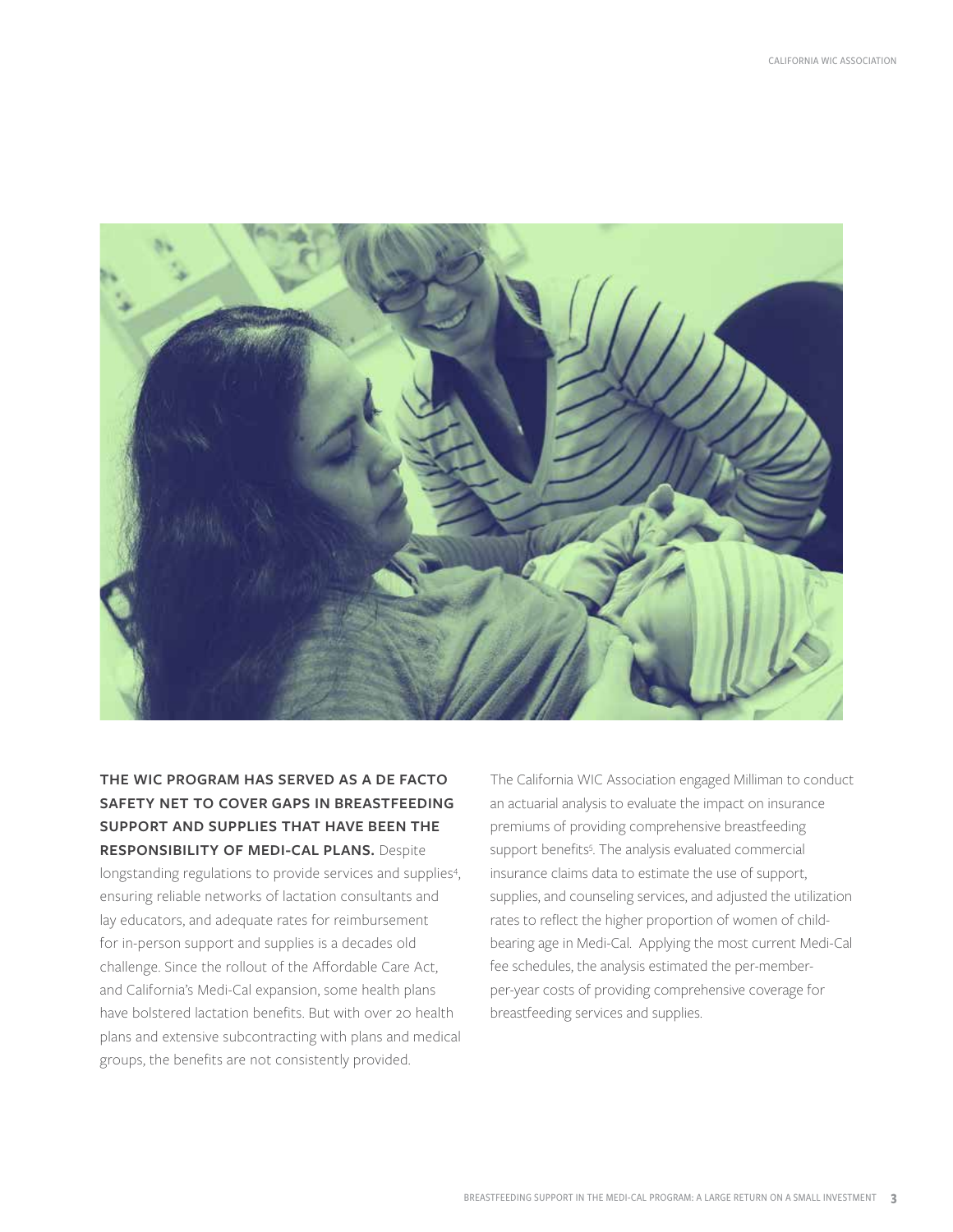

#### **THE WIC PROGRAM HAS SERVED AS A DE FACTO SAFETY NET TO COVER GAPS IN BREASTFEEDING SUPPORT AND SUPPLIES THAT HAVE BEEN THE RESPONSIBILITY OF MEDI-CAL PLANS.** Despite longstanding regulations to provide services and supplies<sup>4</sup>, ensuring reliable networks of lactation consultants and lay educators, and adequate rates for reimbursement for in-person support and supplies is a decades old challenge. Since the rollout of the Affordable Care Act, and California's Medi-Cal expansion, some health plans have bolstered lactation benefits. But with over 20 health plans and extensive subcontracting with plans and medical groups, the benefits are not consistently provided.

The California WIC Association engaged Milliman to conduct an actuarial analysis to evaluate the impact on insurance premiums of providing comprehensive breastfeeding support benefits<sup>5</sup>. The analysis evaluated commercial insurance claims data to estimate the use of support, supplies, and counseling services, and adjusted the utilization rates to reflect the higher proportion of women of childbearing age in Medi-Cal. Applying the most current Medi-Cal fee schedules, the analysis estimated the per-memberper-year costs of providing comprehensive coverage for breastfeeding services and supplies.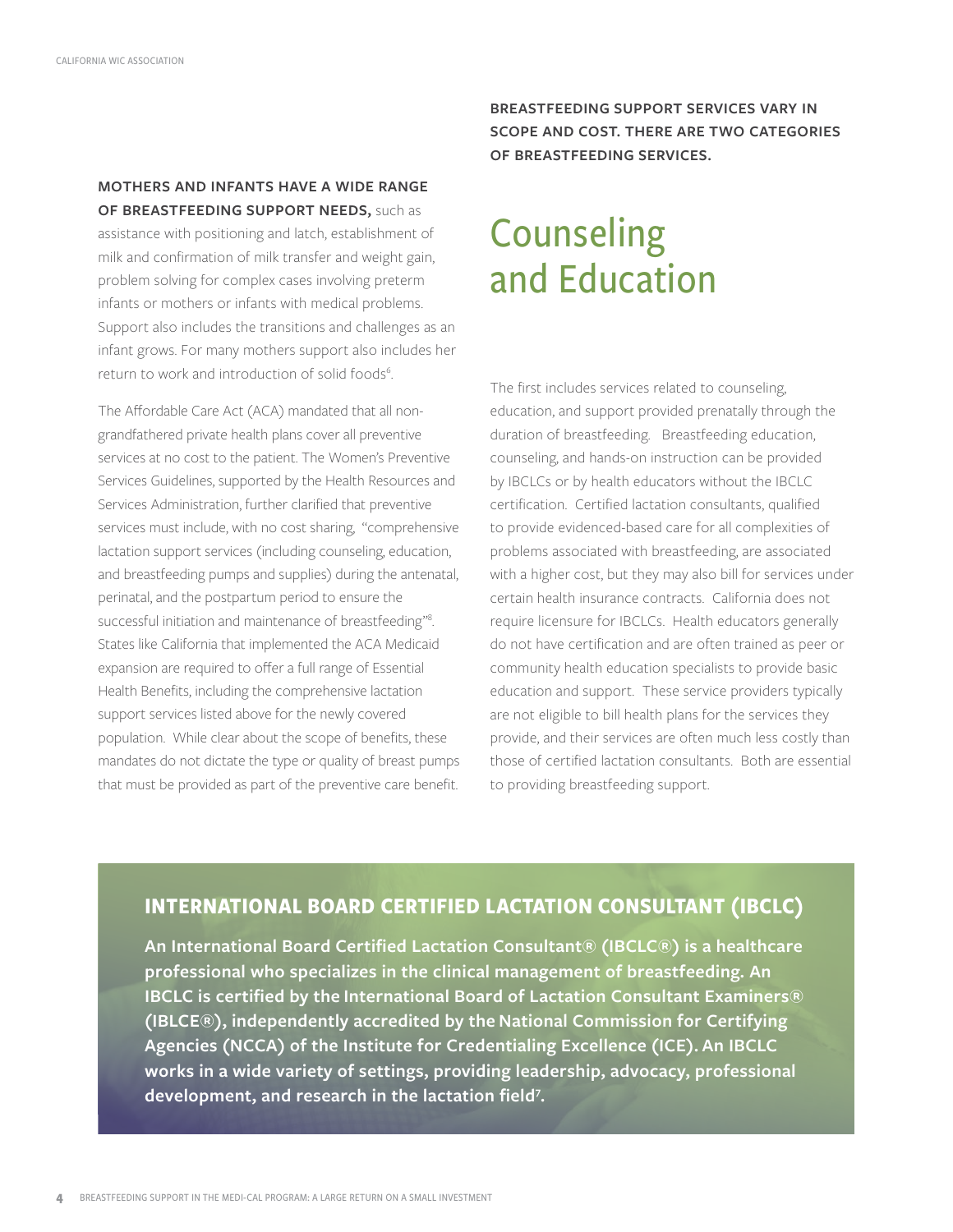#### **MOTHERS AND INFANTS HAVE A WIDE RANGE OF BREASTFEEDING SUPPORT NEEDS,** such as

assistance with positioning and latch, establishment of milk and confirmation of milk transfer and weight gain, problem solving for complex cases involving preterm infants or mothers or infants with medical problems. Support also includes the transitions and challenges as an infant grows. For many mothers support also includes her return to work and introduction of solid foods<sup>6</sup>.

The Affordable Care Act (ACA) mandated that all nongrandfathered private health plans cover all preventive services at no cost to the patient. The Women's Preventive Services Guidelines, supported by the Health Resources and Services Administration, further clarified that preventive services must include, with no cost sharing, "comprehensive lactation support services (including counseling, education, and breastfeeding pumps and supplies) during the antenatal, perinatal, and the postpartum period to ensure the successful initiation and maintenance of breastfeeding"8 . States like California that implemented the ACA Medicaid expansion are required to offer a full range of Essential Health Benefits, including the comprehensive lactation support services listed above for the newly covered population. While clear about the scope of benefits, these mandates do not dictate the type or quality of breast pumps that must be provided as part of the preventive care benefit.

**BREASTFEEDING SUPPORT SERVICES VARY IN SCOPE AND COST. THERE ARE TWO CATEGORIES OF BREASTFEEDING SERVICES.** 

### **Counseling** and Education

The first includes services related to counseling, education, and support provided prenatally through the duration of breastfeeding. Breastfeeding education, counseling, and hands-on instruction can be provided by IBCLCs or by health educators without the IBCLC certification. Certified lactation consultants, qualified to provide evidenced-based care for all complexities of problems associated with breastfeeding, are associated with a higher cost, but they may also bill for services under certain health insurance contracts. California does not require licensure for IBCLCs. Health educators generally do not have certification and are often trained as peer or community health education specialists to provide basic education and support. These service providers typically are not eligible to bill health plans for the services they provide, and their services are often much less costly than those of certified lactation consultants. Both are essential to providing breastfeeding support.

#### **INTERNATIONAL BOARD CERTIFIED LACTATION CONSULTANT (IBCLC)**

**An International Board Certified Lactation Consultant® (IBCLC®) is a healthcare professional who specializes in the clinical management of breastfeeding. An IBCLC is certified by the [International Board of Lactation Consultant Examiners®](http://iblce.org/)  [\(IBLCE®\),](http://iblce.org/) independently accredited by the [National Commission for Certifying](http://www.credentialingexcellence.org/ncca)  [Agencies \(NCCA\) of the Institute for Credentialing Excellence \(ICE\)](http://www.credentialingexcellence.org/ncca). An IBCLC works in a wide variety of settings, providing leadership, advocacy, professional development, and research in the lactation field7 .**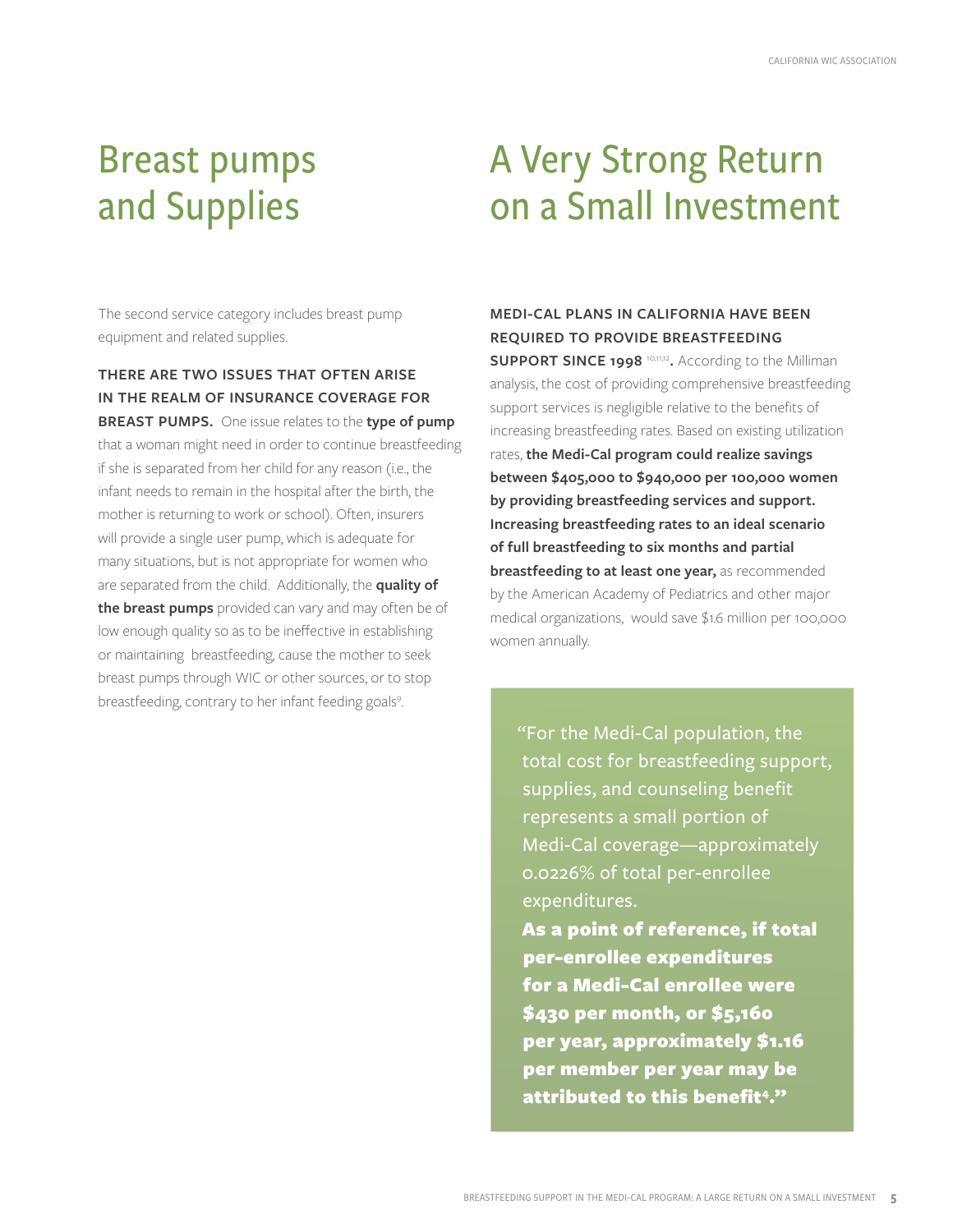### Breast pumps and Supplies

The second service category includes breast pump equipment and related supplies.

**THERE ARE TWO ISSUES THAT OFTEN ARISE IN THE REALM OF INSURANCE COVERAGE FOR BREAST PUMPS.** One issue relates to the **type of pump** that a woman might need in order to continue breastfeeding if she is separated from her child for any reason (i.e., the infant needs to remain in the hospital after the birth, the mother is returning to work or school). Often, insurers will provide a single user pump, which is adequate for many situations, but is not appropriate for women who are separated from the child. Additionally, the **quality of the breast pumps** provided can vary and may often be of low enough quality so as to be ineffective in establishing or maintaining breastfeeding, cause the mother to seek breast pumps through WIC or other sources, or to stop breastfeeding, contrary to her infant feeding goals<sup>9</sup>.

# A Very Strong Return on a Small Investment

**MEDI-CAL PLANS IN CALIFORNIA HAVE BEEN REQUIRED TO PROVIDE BREASTFEEDING** 

**SUPPORT SINCE 1998** 10,11,12**.** According to the Milliman analysis, the cost of providing comprehensive breastfeeding support services is negligible relative to the benefits of increasing breastfeeding rates. Based on existing utilization rates, **the Medi-Cal program could realize savings between \$405,000 to \$940,000 per 100,000 women by providing breastfeeding services and support. Increasing breastfeeding rates to an ideal scenario of full breastfeeding to six months and partial breastfeeding to at least one year,** as recommended by the American Academy of Pediatrics and other major medical organizations, would save \$1.6 million per 100,000 women annually.

"For the Medi-Cal population, the total cost for breastfeeding support, supplies, and counseling benefit represents a small portion of Medi-Cal coverage—approximately 0.0226% of total per-enrollee expenditures. As a point of reference, if total

per-enrollee expenditures for a Medi-Cal enrollee were \$430 per month, or \$5,160 per year, approximately \$1.16 per member per year may be attributed to this benefit<sup>4</sup>."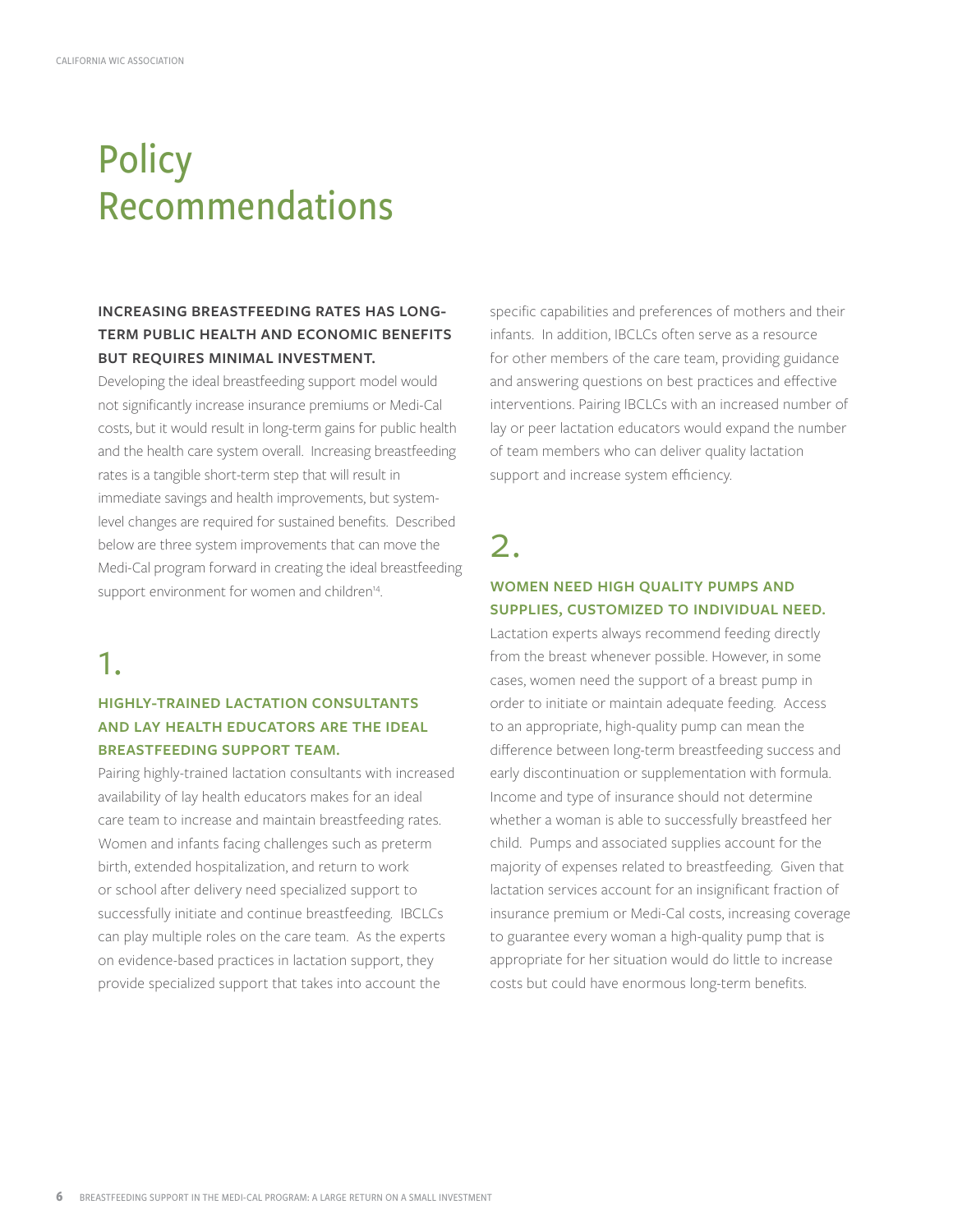# **Policy** Recommendations

#### **INCREASING BREASTFEEDING RATES HAS LONG-TERM PUBLIC HEALTH AND ECONOMIC BENEFITS BUT REQUIRES MINIMAL INVESTMENT.**

Developing the ideal breastfeeding support model would not significantly increase insurance premiums or Medi-Cal costs, but it would result in long-term gains for public health and the health care system overall. Increasing breastfeeding rates is a tangible short-term step that will result in immediate savings and health improvements, but systemlevel changes are required for sustained benefits. Described below are three system improvements that can move the Medi-Cal program forward in creating the ideal breastfeeding support environment for women and children<sup>14</sup>.

### 1.

#### **HIGHLY-TRAINED LACTATION CONSULTANTS AND LAY HEALTH EDUCATORS ARE THE IDEAL BREASTFEEDING SUPPORT TEAM.**

Pairing highly-trained lactation consultants with increased availability of lay health educators makes for an ideal care team to increase and maintain breastfeeding rates. Women and infants facing challenges such as preterm birth, extended hospitalization, and return to work or school after delivery need specialized support to successfully initiate and continue breastfeeding. IBCLCs can play multiple roles on the care team. As the experts on evidence-based practices in lactation support, they provide specialized support that takes into account the

specific capabilities and preferences of mothers and their infants. In addition, IBCLCs often serve as a resource for other members of the care team, providing guidance and answering questions on best practices and effective interventions. Pairing IBCLCs with an increased number of lay or peer lactation educators would expand the number of team members who can deliver quality lactation support and increase system efficiency.

2.

#### **WOMEN NEED HIGH QUALITY PUMPS AND SUPPLIES, CUSTOMIZED TO INDIVIDUAL NEED.**

Lactation experts always recommend feeding directly from the breast whenever possible. However, in some cases, women need the support of a breast pump in order to initiate or maintain adequate feeding. Access to an appropriate, high-quality pump can mean the difference between long-term breastfeeding success and early discontinuation or supplementation with formula. Income and type of insurance should not determine whether a woman is able to successfully breastfeed her child. Pumps and associated supplies account for the majority of expenses related to breastfeeding. Given that lactation services account for an insignificant fraction of insurance premium or Medi-Cal costs, increasing coverage to guarantee every woman a high-quality pump that is appropriate for her situation would do little to increase costs but could have enormous long-term benefits.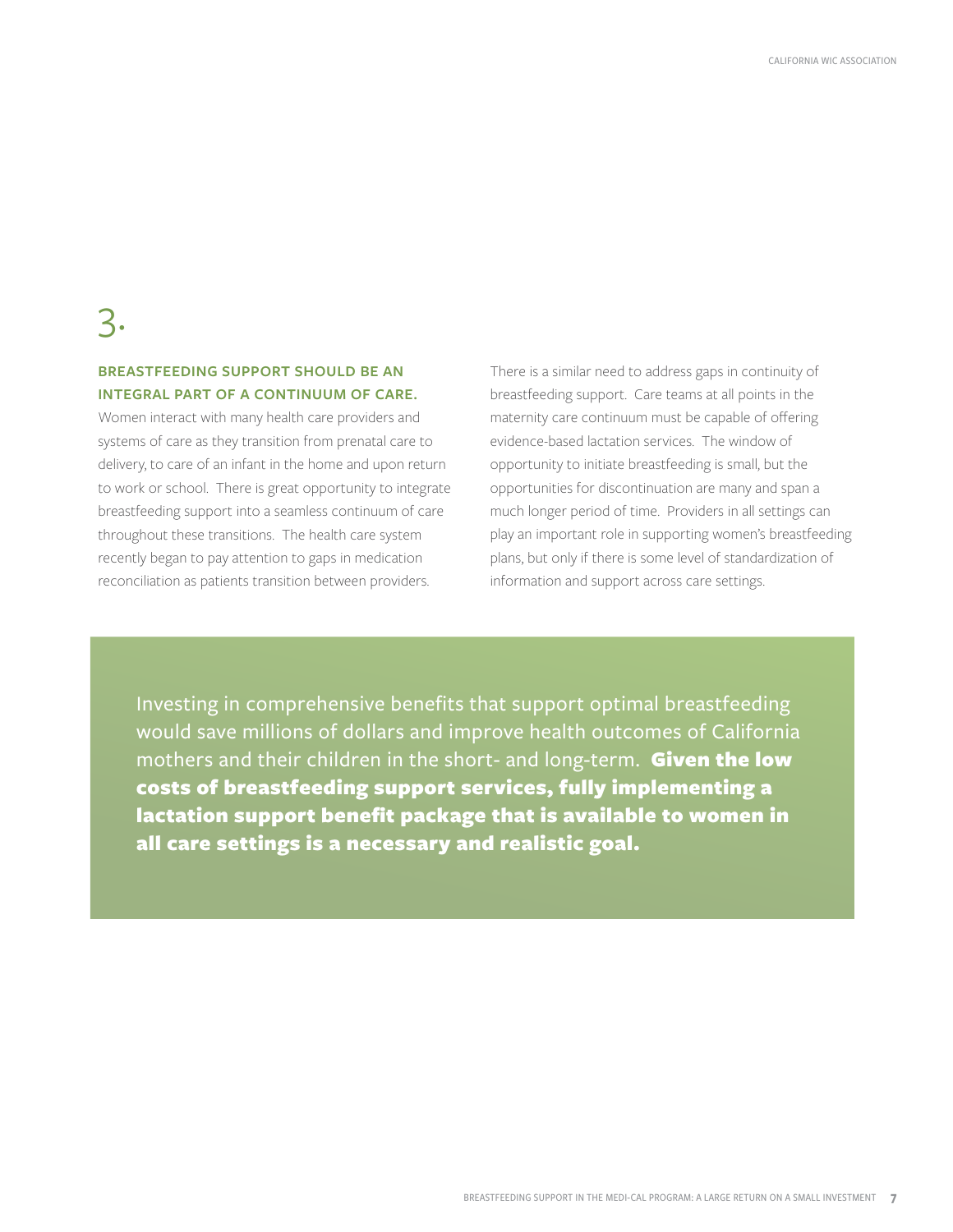### 3.

#### **BREASTFEEDING SUPPORT SHOULD BE AN INTEGRAL PART OF A CONTINUUM OF CARE.**

Women interact with many health care providers and systems of care as they transition from prenatal care to delivery, to care of an infant in the home and upon return to work or school. There is great opportunity to integrate breastfeeding support into a seamless continuum of care throughout these transitions. The health care system recently began to pay attention to gaps in medication reconciliation as patients transition between providers.

There is a similar need to address gaps in continuity of breastfeeding support. Care teams at all points in the maternity care continuum must be capable of offering evidence-based lactation services. The window of opportunity to initiate breastfeeding is small, but the opportunities for discontinuation are many and span a much longer period of time. Providers in all settings can play an important role in supporting women's breastfeeding plans, but only if there is some level of standardization of information and support across care settings.

Investing in comprehensive benefits that support optimal breastfeeding would save millions of dollars and improve health outcomes of California mothers and their children in the short- and long-term. Given the low costs of breastfeeding support services, fully implementing a lactation support benefit package that is available to women in all care settings is a necessary and realistic goal.